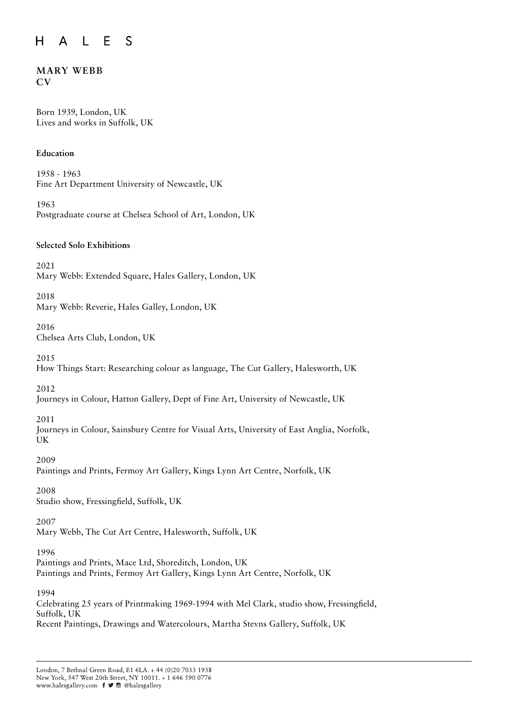#### A L E S  $H$

# **MARY WEBB CV**

Born 1939, London, UK Lives and works in Suffolk, UK

# **Education**

1958 - 1963 Fine Art Department University of Newcastle, UK

1963 Postgraduate course at Chelsea School of Art, London, UK

# **Selected Solo Exhibitions**

2021 Mary Webb: Extended Square, Hales Gallery, London, UK

2018 Mary Webb: Reverie, Hales Galley, London, UK

#### 2016 Chelsea Arts Club, London, UK

2015

How Things Start: Researching colour as language, The Cut Gallery, Halesworth, UK

2012

Journeys in Colour, Hatton Gallery, Dept of Fine Art, University of Newcastle, UK

2011

Journeys in Colour, Sainsbury Centre for Visual Arts, University of East Anglia, Norfolk, UK

2009

Paintings and Prints, Fermoy Art Gallery, Kings Lynn Art Centre, Norfolk, UK

2008 Studio show, Fressingfield, Suffolk, UK

2007

Mary Webb, The Cut Art Centre, Halesworth, Suffolk, UK

1996

Paintings and Prints, Mace Ltd, Shoreditch, London, UK Paintings and Prints, Fermoy Art Gallery, Kings Lynn Art Centre, Norfolk, UK

1994

Celebrating 25 years of Printmaking 1969-1994 with Mel Clark, studio show, Fressingfield, Suffolk, UK Recent Paintings, Drawings and Watercolours, Martha Stevns Gallery, Suffolk, UK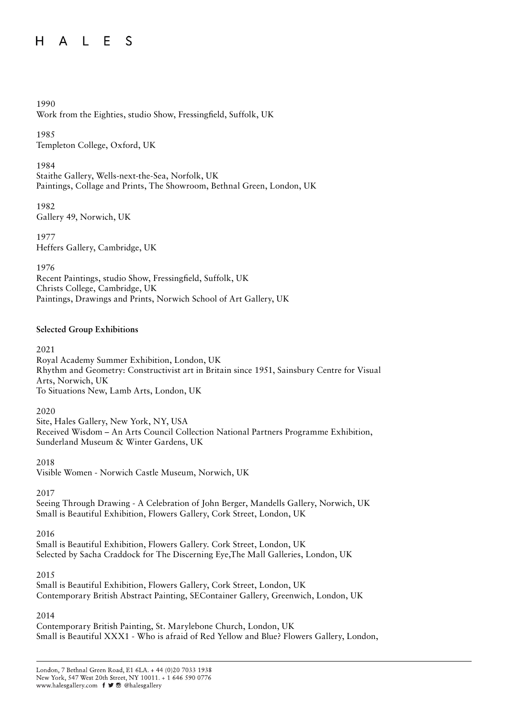# HALES

# 1990

Work from the Eighties, studio Show, Fressingfield, Suffolk, UK

1985 Templeton College, Oxford, UK

# 1984

Staithe Gallery, Wells-next-the-Sea, Norfolk, UK Paintings, Collage and Prints, The Showroom, Bethnal Green, London, UK

1982 Gallery 49, Norwich, UK

1977 Heffers Gallery, Cambridge, UK

# 1976

Recent Paintings, studio Show, Fressingfield, Suffolk, UK Christs College, Cambridge, UK Paintings, Drawings and Prints, Norwich School of Art Gallery, UK

# **Selected Group Exhibitions**

# 2021

Royal Academy Summer Exhibition, London, UK Rhythm and Geometry: Constructivist art in Britain since 1951, Sainsbury Centre for Visual Arts, Norwich, UK To Situations New, Lamb Arts, London, UK

# 2020

Site, Hales Gallery, New York, NY, USA Received Wisdom – An Arts Council Collection National Partners Programme Exhibition, Sunderland Museum & Winter Gardens, UK

# 2018

Visible Women - Norwich Castle Museum, Norwich, UK

# 2017

Seeing Through Drawing - A Celebration of John Berger, Mandells Gallery, Norwich, UK Small is Beautiful Exhibition, Flowers Gallery, Cork Street, London, UK

2016

Small is Beautiful Exhibition, Flowers Gallery. Cork Street, London, UK Selected by Sacha Craddock for The Discerning Eye,The Mall Galleries, London, UK

# 2015

Small is Beautiful Exhibition, Flowers Gallery, Cork Street, London, UK Contemporary British Abstract Painting, SEContainer Gallery, Greenwich, London, UK

# 2014

Contemporary British Painting, St. Marylebone Church, London, UK Small is Beautiful XXX1 - Who is afraid of Red Yellow and Blue? Flowers Gallery, London,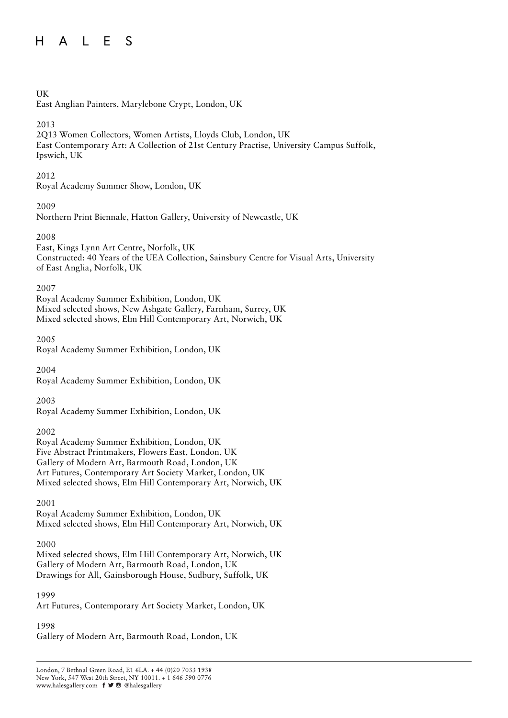#### $H$ A L E S

# UK

East Anglian Painters, Marylebone Crypt, London, UK

# 2013

2Q13 Women Collectors, Women Artists, Lloyds Club, London, UK East Contemporary Art: A Collection of 21st Century Practise, University Campus Suffolk, Ipswich, UK

# 2012

Royal Academy Summer Show, London, UK

# 2009

Northern Print Biennale, Hatton Gallery, University of Newcastle, UK

# 2008

East, Kings Lynn Art Centre, Norfolk, UK Constructed: 40 Years of the UEA Collection, Sainsbury Centre for Visual Arts, University of East Anglia, Norfolk, UK

# 2007

Royal Academy Summer Exhibition, London, UK Mixed selected shows, New Ashgate Gallery, Farnham, Surrey, UK Mixed selected shows, Elm Hill Contemporary Art, Norwich, UK

# 2005

Royal Academy Summer Exhibition, London, UK

2004 Royal Academy Summer Exhibition, London, UK

2003

Royal Academy Summer Exhibition, London, UK

# 2002

Royal Academy Summer Exhibition, London, UK Five Abstract Printmakers, Flowers East, London, UK Gallery of Modern Art, Barmouth Road, London, UK Art Futures, Contemporary Art Society Market, London, UK Mixed selected shows, Elm Hill Contemporary Art, Norwich, UK

# 2001

Royal Academy Summer Exhibition, London, UK Mixed selected shows, Elm Hill Contemporary Art, Norwich, UK

# 2000

Mixed selected shows, Elm Hill Contemporary Art, Norwich, UK Gallery of Modern Art, Barmouth Road, London, UK Drawings for All, Gainsborough House, Sudbury, Suffolk, UK

# 1999

Art Futures, Contemporary Art Society Market, London, UK

# 1998

Gallery of Modern Art, Barmouth Road, London, UK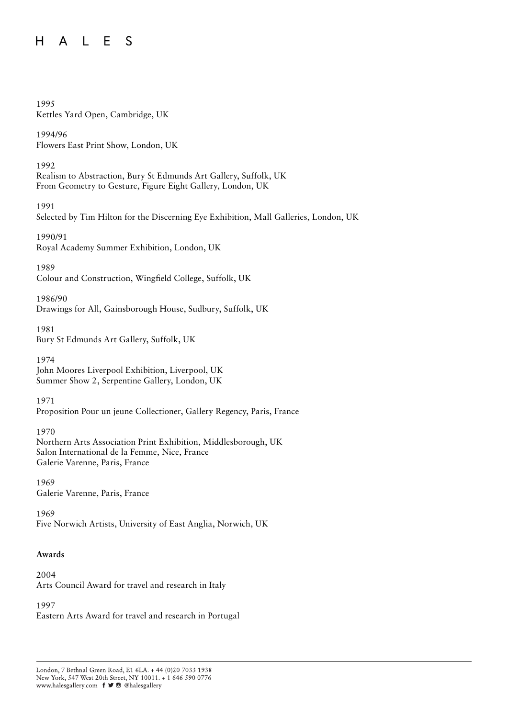#### $H$ A L E S

### 1995

Kettles Yard Open, Cambridge, UK

1994/96 Flowers East Print Show, London, UK

### 1992

Realism to Abstraction, Bury St Edmunds Art Gallery, Suffolk, UK From Geometry to Gesture, Figure Eight Gallery, London, UK

#### 1991

Selected by Tim Hilton for the Discerning Eye Exhibition, Mall Galleries, London, UK

# 1990/91 Royal Academy Summer Exhibition, London, UK

# 1989

Colour and Construction, Wingfield College, Suffolk, UK

# 1986/90

Drawings for All, Gainsborough House, Sudbury, Suffolk, UK

# 1981 Bury St Edmunds Art Gallery, Suffolk, UK

1974 John Moores Liverpool Exhibition, Liverpool, UK Summer Show 2, Serpentine Gallery, London, UK

# 1971

Proposition Pour un jeune Collectioner, Gallery Regency, Paris, France

# 1970

Northern Arts Association Print Exhibition, Middlesborough, UK Salon International de la Femme, Nice, France Galerie Varenne, Paris, France

1969 Galerie Varenne, Paris, France

1969 Five Norwich Artists, University of East Anglia, Norwich, UK

# **Awards**

2004 Arts Council Award for travel and research in Italy

# 1997

Eastern Arts Award for travel and research in Portugal